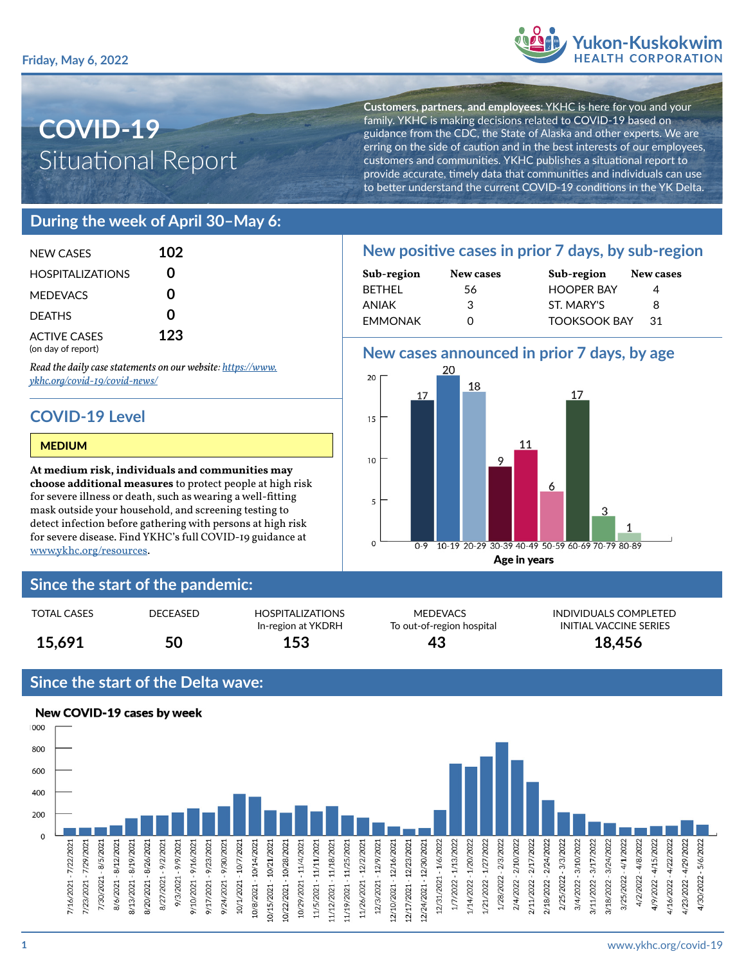

# **COVID-19** Situational Report

**Customers, partners, and employees**: YKHC is here for you and your family. YKHC is making decisions related to COVID-19 based on guidance from the CDC, the State of Alaska and other experts. We are erring on the side of caution and in the best interests of our employees, customers and communities. YKHC publishes a situational report to provide accurate, timely data that communities and individuals can use to better understand the current COVID-19 conditions in the YK Delta.

### **During the week of April 30–May 6:**

| NFW CASES                                 | 102 |
|-------------------------------------------|-----|
| <b>HOSPITALIZATIONS</b>                   | ი   |
| <b>MEDEVACS</b>                           | ი   |
| <b>DEATHS</b>                             | ი   |
| <b>ACTIVE CASES</b><br>(on day of report) | 123 |

*Read the daily case statements on our website: [https://www.](https://www.ykhc.org/covid-19/covid-news/) [ykhc.org/covid-19/covid-news/](https://www.ykhc.org/covid-19/covid-news/)*

## **COVID-19 Level**

#### MEDIUM

**At medium risk, individuals and communities may choose additional measures** to protect people at high risk for severe illness or death, such as wearing a well-fitting mask outside your household, and screening testing to detect infection before gathering with persons at high risk for severe disease. Find YKHC's full COVID-19 guidance at [www.ykhc.org/resources](http://www.ykhc.org/resources).

### **Since the start of the pandemic:**

| <b>TOTAL CASES</b> | DECEASED | <b>HOSPITALIZATIONS</b><br>In-region at YKDRH | <b>MEDEVACS</b><br>To out-of-region hospital | <b>INDIVIDUALS COM</b><br>INITIAL VACCINE ! |
|--------------------|----------|-----------------------------------------------|----------------------------------------------|---------------------------------------------|
| 15,691             | 50       | 153                                           | 43                                           | 18,456                                      |

### **Since the start of the Delta wave:**



## **New positive cases in prior 7 days, by sub-region**

| Sub-region     | New cases | Sub-region          | New cases |  |
|----------------|-----------|---------------------|-----------|--|
| <b>BETHEL</b>  | 56        | <b>HOOPER BAY</b>   |           |  |
| ANIAK          | 3         | ST. MARY'S          | 8         |  |
| <b>EMMONAK</b> | O         | <b>TOOKSOOK BAY</b> | .31       |  |

### **New cases announced in prior 7 days, by age**



MEDEVACS INDIVIDUALS COMPLETED To out-of-region hospital **INITIAL VACCINE SERIES**